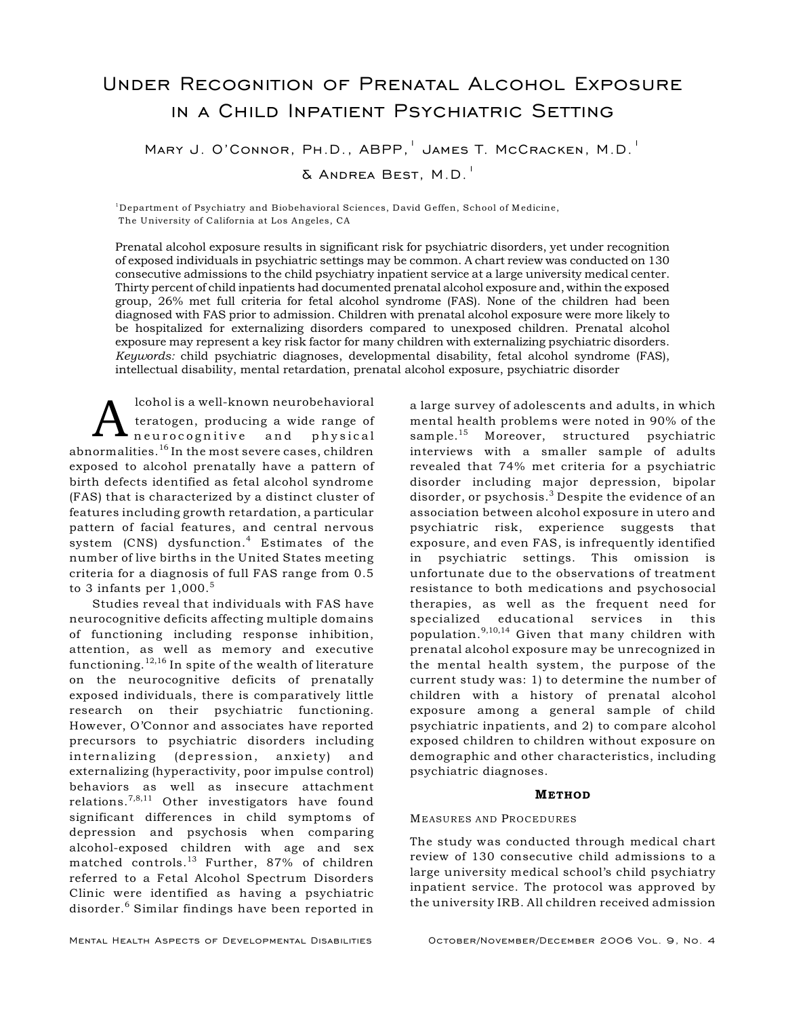# Under Recognition of Prenatal Alcohol Exposure in a Child Inpatient Psychiatric Setting

MARY J. O'CONNOR, PH.D., ABPP, JAMES T. MCCRACKEN, M.D.<sup>1</sup>

 $\delta$  Andrea Best, M.D.<sup>1</sup>

<sup>1</sup>Department of Psychiatry and Biobehavioral Sciences, David Geffen, School of Medicine, The University of California at Los Angeles, CA

Prenatal alcohol exposure results in significant risk for psychiatric disorders, yet under recognition of exposed individuals in psychiatric settings may be common. A chart review was conducted on 130 consecutive admissions to the child psychiatry inpatient service at a large university medical center. Thirty percent of child inpatients had documented prenatal alcohol exposure and, within the exposed group, 26% met full criteria for fetal alcohol syndrome (FAS). None of the children had been diagnosed with FAS prior to admission. Children with prenatal alcohol exposure were more likely to be hospitalized for externalizing disorders compared to unexposed children. Prenatal alcohol exposure may represent a key risk factor for many children with externalizing psychiatric disorders. *Keywords:* child psychiatric diagnoses, developmental disability, fetal alcohol syndrome (FAS), intellectual disability, mental retardation, prenatal alcohol exposure, psychiatric disorder

A lcohol is a well-known neurobehavioral<br>teratogen, producing a wide range of<br>abnormalities.<sup>16</sup> In the most severe cases, children lcohol is a well-known neurobehavioral teratogen, producing a wide range of neuro cognitive and physical exposed to alcohol prenatally have a pattern of birth defects identified as fetal alcohol syndrome (FAS) that is characterized by a distinct cluster of features including growth retardation, a particular pattern of facial features, and central nervous system  $(CNS)$  dysfunction.<sup>4</sup> Estimates of the number of live births in the United States meeting criteria for a diagnosis of full FAS range from 0.5 to 3 infants per  $1.000$ .<sup>5</sup>

Studies reveal that individuals with FAS have neurocognitive deficits affecting multiple domains of functioning including response inhibition, attention, as well as memory and executive functioning.  $12,16$  In spite of the wealth of literature on the neurocognitive deficits of prenatally exposed individuals, there is comparatively little research on their psychiatric functioning. However, O'Connor and associates have reported precursors to psychiatric disorders including internalizing (depression, anxiety) and externalizing (hyperactivity, poor impulse control) behaviors as well as insecure attachment relations.<sup>7,8,11</sup> Other investigators have found significant differences in child symptoms of depression and psychosis when comparing alcohol-exposed children with age and sex matched controls.<sup>13</sup> Further, 87% of children referred to a Fetal Alcohol Spectrum Disorders Clinic were identified as having a psychiatric disorder.<sup>6</sup> Similar findings have been reported in

a large survey of adolescents and adults, in which mental health problems were noted in 90% of the sample.<sup>15</sup> Moreover, structured psychiatric interviews with a smaller sample of adults revealed that 74% met criteria for a psychiatric disorder including major depression, bipolar disorder, or psychosis.<sup>3</sup> Despite the evidence of an association between alcohol exposure in utero and psychiatric risk, experience suggests that exposure, and even FAS, is infrequently identified in psychiatric settings. This omission is unfortunate due to the observations of treatment resistance to both medications and psychosocial therapies, as well as the frequent need for specialized educational services in this population.  $9,10,14$  Given that many children with prenatal alcohol exposure may be unrecognized in the mental health system, the purpose of the current study was: 1) to determine the number of children with a history of prenatal alcohol exposure among a general sample of child psychiatric inpatients, and 2) to compare alcohol exposed children to children without exposure on demographic and other characteristics, including psychiatric diagnoses.

## **METHOD**

### MEASURES AND PROCEDURES

The study was conducted through medical chart review of 130 consecutive child admissions to a large university medical school's child psychiatry inpatient service. The protocol was approved by the university IRB. All children received admission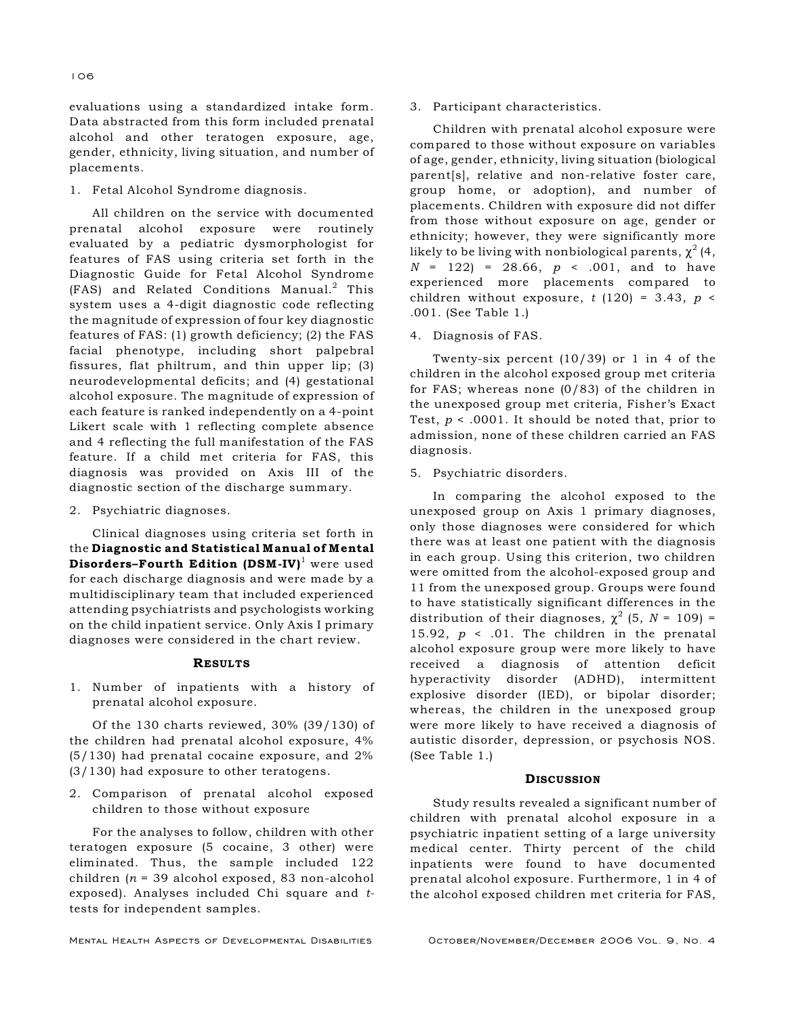evaluations using a standardized intake form. Data abstracted from this form included prenatal alcohol and other teratogen exposure, age, gender, ethnicity, living situation, and number of placements.

1. Fetal Alcohol Syndrome diagnosis.

All children on the service with documented prenatal alcohol exposure were routinely evaluated by a pediatric dysmorphologist for features of FAS using criteria set forth in the Diagnostic Guide for Fetal Alcohol Syndrome  $(FAS)$  and Related Conditions Manual.<sup>2</sup> This system uses a 4-digit diagnostic code reflecting the magnitude of expression of four key diagnostic features of FAS: (1) growth deficiency; (2) the FAS facial phenotype, including short palpebral fissures, flat philtrum, and thin upper lip; (3) neurodevelopmental deficits; and (4) gestational alcohol exposure. The magnitude of expression of each feature is ranked independently on a 4-point Likert scale with 1 reflecting complete absence and 4 reflecting the full manifestation of the FAS feature. If a child met criteria for FAS, this diagnosis was provided on Axis III of the diagnostic section of the discharge summary.

2. Psychiatric diagnoses.

Clinical diagnoses using criteria set forth in the Diagnostic and Statistical Manual of Mental Disorders–Fourth Edition  $(DSM-IV)^1$  were used for each discharge diagnosis and were made by a multidisciplinary team that included experienced attending psychiatrists and psychologists working on the child inpatient service. Only Axis I primary diagnoses were considered in the chart review.

#### RESULTS

1. Number of inpatients with a history of prenatal alcohol exposure.

Of the 130 charts reviewed, 30% (39/130) of the children had prenatal alcohol exposure, 4% (5/130) had prenatal cocaine exposure, and 2% (3/130) had exposure to other teratogens.

2. Comparison of prenatal alcohol exposed children to those without exposure

For the analyses to follow, children with other teratogen exposure (5 cocaine, 3 other) were eliminated. Thus, the sample included 122 children (*n* = 39 alcohol exposed, 83 non-alcohol exposed). Analyses included Chi square and *t*tests for independent samples.

3. Participant characteristics.

Children with prenatal alcohol exposure were compared to those without exposure on variables of age, gender, ethnicity, living situation (biological parent[s], relative and non-relative foster care, group home, or adoption), and number of placements. Children with exposure did not differ from those without exposure on age, gender or ethnicity; however, they were significantly more likely to be living with nonbiological parents,  $\chi^2$  (4,  $N = 122$  = 28.66,  $p \lt 0.001$ , and to have experienced more placements compared to children without exposure,  $t(120) = 3.43$ ,  $p \le$ .001. (See Table 1.)

4. Diagnosis of FAS.

Twenty-six percent (10/39) or 1 in 4 of the children in the alcohol exposed group met criteria for FAS; whereas none (0/83) of the children in the unexposed group met criteria, Fisher's Exact Test, *p* < .0001. It should be noted that, prior to admission, none of these children carried an FAS diagnosis.

5. Psychiatric disorders.

In comparing the alcohol exposed to the unexposed group on Axis 1 primary diagnoses, only those diagnoses were considered for which there was at least one patient with the diagnosis in each group. Using this criterion, two children were omitted from the alcohol-exposed group and 11 from the unexposed group. Groups were found to have statistically significant differences in the distribution of their diagnoses,  $\chi^2$  (5, *N* = 109) = 15.92, *p* < .01. The children in the prenatal alcohol exposure group were more likely to have received a diagnosis of attention deficit hyperactivity disorder (ADHD), intermittent explosive disorder (IED), or bipolar disorder; whereas, the children in the unexposed group were more likely to have received a diagnosis of autistic disorder, depression, or psychosis NOS. (See Table 1.)

#### **DISCUSSION**

Study results revealed a significant number of children with prenatal alcohol exposure in a psychiatric inpatient setting of a large university medical center. Thirty percent of the child inpatients were found to have documented prenatal alcohol exposure. Furthermore, 1 in 4 of the alcohol exposed children met criteria for FAS,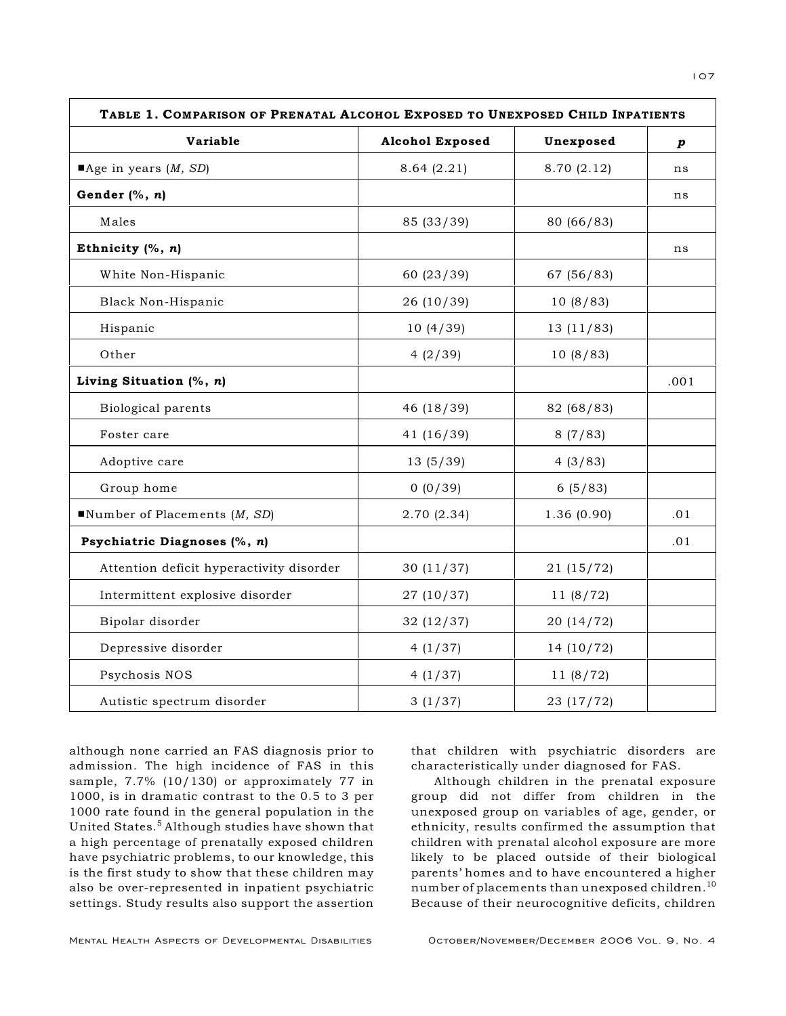| TABLE 1. COMPARISON OF PRENATAL ALCOHOL EXPOSED TO UNEXPOSED CHILD INPATIENTS |                        |             |      |
|-------------------------------------------------------------------------------|------------------------|-------------|------|
| Variable                                                                      | <b>Alcohol Exposed</b> | Unexposed   | p    |
| $\blacksquare$ Age in years ( <i>M</i> , <i>SD</i> )                          | 8.64(2.21)             | 8.70 (2.12) | ns   |
| Gender (%, n)                                                                 |                        |             | ns   |
| Males                                                                         | 85 (33/39)             | 80 (66/83)  |      |
| Ethnicity $(%, n)$                                                            |                        |             | ns   |
| White Non-Hispanic                                                            | 60 (23/39)             | 67 (56/83)  |      |
| Black Non-Hispanic                                                            | 26 (10/39)             | 10(8/83)    |      |
| Hispanic                                                                      | 10(4/39)               | 13(11/83)   |      |
| Other                                                                         | 4(2/39)                | 10(8/83)    |      |
| Living Situation $(%, n)$                                                     |                        |             | .001 |
| Biological parents                                                            | 46 (18/39)             | 82 (68/83)  |      |
| Foster care                                                                   | 41(16/39)              | 8(7/83)     |      |
| Adoptive care                                                                 | 13(5/39)               | 4(3/83)     |      |
| Group home                                                                    | 0(0/39)                | 6(5/83)     |      |
| Number of Placements $(M, SD)$                                                | 2.70(2.34)             | 1.36(0.90)  | .01  |
| Psychiatric Diagnoses (%, n)                                                  |                        |             | .01  |
| Attention deficit hyperactivity disorder                                      | 30(11/37)              | 21(15/72)   |      |
| Intermittent explosive disorder                                               | 27(10/37)              | 11(8/72)    |      |
| Bipolar disorder                                                              | 32(12/37)              | 20(14/72)   |      |
| Depressive disorder                                                           | 4(1/37)                | 14(10/72)   |      |
| Psychosis NOS                                                                 | 4(1/37)                | 11(8/72)    |      |
| Autistic spectrum disorder                                                    | 3(1/37)                | 23 (17/72)  |      |

although none carried an FAS diagnosis prior to admission. The high incidence of FAS in this sample, 7.7% (10/130) or approximately 77 in 1000, is in dramatic contrast to the 0.5 to 3 per 1000 rate found in the general population in the United States.<sup>5</sup> Although studies have shown that a high percentage of prenatally exposed children have psychiatric problems, to our knowledge, this is the first study to show that these children may also be over-represented in inpatient psychiatric settings. Study results also support the assertion

that children with psychiatric disorders are characteristically under diagnosed for FAS.

Although children in the prenatal exposure group did not differ from children in the unexposed group on variables of age, gender, or ethnicity, results confirmed the assumption that children with prenatal alcohol exposure are more likely to be placed outside of their biological parents' homes and to have encountered a higher number of placements than unexposed children.<sup>10</sup> Because of their neurocognitive deficits, children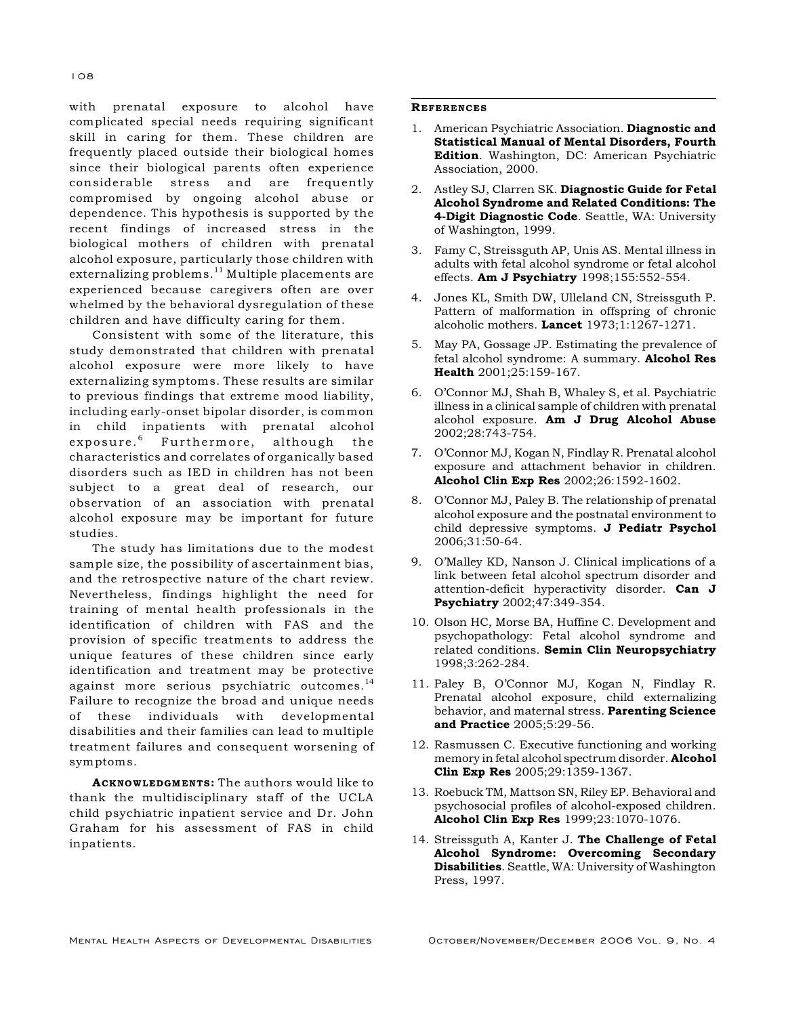with prenatal exposure to alcohol have complicated special needs requiring significant skill in caring for them. These children are frequently placed outside their biological homes since their biological parents often experience considerable stress and are frequently compromised by ongoing alcohol abuse or dependence. This hypothesis is supported by the recent findings of increased stress in the biological mothers of children with prenatal alcohol exposure, particularly those children with externalizing problems. $11$  Multiple placements are experienced because caregivers often are over whelmed by the behavioral dysregulation of these children and have difficulty caring for them.

Consistent with some of the literature, this study demonstrated that children with prenatal alcohol exposure were more likely to have externalizing symptoms. These results are similar to previous findings that extreme mood liability, including early-onset bipolar disorder, is common in child inpatients with prenatal alcohol exposure.<sup>6</sup> Furthermore, although the characteristics and correlates of organically based disorders such as IED in children has not been subject to a great deal of research, our observation of an association with prenatal alcohol exposure may be important for future studies.

The study has limitations due to the modest sample size, the possibility of ascertainment bias, and the retrospective nature of the chart review. Nevertheless, findings highlight the need for training of mental health professionals in the identification of children with FAS and the provision of specific treatments to address the unique features of these children since early identification and treatment may be protective against more serious psychiatric outcomes.<sup>14</sup> Failure to recognize the broad and unique needs of these individuals with developmental disabilities and their families can lead to multiple treatment failures and consequent worsening of symptoms.

ACKNOWLEDGMENTS: The authors would like to thank the multidisciplinary staff of the UCLA child psychiatric inpatient service and Dr. John Graham for his assessment of FAS in child inpatients.

#### **REFERENCES**

- 1. American Psychiatric Association. Diagnostic and Statistical Manual of Mental Disorders, Fourth Edition. Washington, DC: American Psychiatric Association, 2000.
- 2. Astley SJ, Clarren SK. Diagnostic Guide for Fetal Alcohol Syndrome and Related Conditions: The 4-Digit Diagnostic Code. Seattle, WA: University of Washington, 1999.
- 3. Famy C, Streissguth AP, Unis AS. Mental illness in adults with fetal alcohol syndrome or fetal alcohol effects. **Am J Psychiatry** 1998;155:552-554.
- 4. Jones KL, Smith DW, Ulleland CN, Streissguth P. Pattern of malformation in offspring of chronic alcoholic mothers. Lancet 1973;1:1267-1271.
- 5. May PA, Gossage JP. Estimating the prevalence of fetal alcohol syndrome: A summary. Alcohol Res Health 2001;25:159-167.
- 6. O'Connor MJ, Shah B, Whaley S, et al. Psychiatric illness in a clinical sample of children with prenatal alcohol exposure. Am J Drug Alcohol Abuse 2002;28:743-754.
- 7. O'Connor MJ, Kogan N, Findlay R. Prenatal alcohol exposure and attachment behavior in children. Alcohol Clin Exp Res 2002;26:1592-1602.
- 8. O'Connor MJ, Paley B. The relationship of prenatal alcohol exposure and the postnatal environment to child depressive symptoms. J Pediatr Psychol 2006;31:50-64.
- 9. O'Malley KD, Nanson J. Clinical implications of a link between fetal alcohol spectrum disorder and attention-deficit hyperactivity disorder. Can J Psychiatry 2002;47:349-354.
- 10. Olson HC, Morse BA, Huffine C. Development and psychopathology: Fetal alcohol syndrome and related conditions. Semin Clin Neuropsychiatry 1998;3:262-284.
- 11. Paley B, O'Connor MJ, Kogan N, Findlay R. Prenatal alcohol exposure, child externalizing behavior, and maternal stress. Parenting Science and Practice 2005;5:29-56.
- 12. Rasmussen C. Executive functioning and working memory in fetal alcohol spectrum disorder. **Alcohol** Clin Exp Res 2005;29:1359-1367.
- 13. Roebuck TM, Mattson SN, Riley EP. Behavioral and psychosocial profiles of alcohol-exposed children. Alcohol Clin Exp Res 1999;23:1070-1076.
- 14. Streissguth A, Kanter J. The Challenge of Fetal Alcohol Syndrome: Overcoming Secondary Disabilities. Seattle, WA: University of Washington Press, 1997.